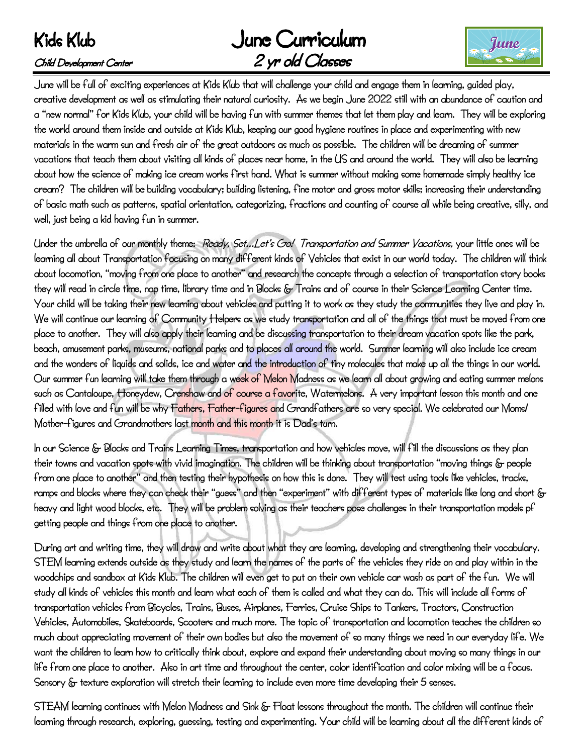# June Curriculum Child Development Center 2 yr old Classes



June will be full of exciting experiences at Kids Klub that will challenge your child and engage them in learning, guided play, creative development as well as stimulating their natural curiosity. As we begin June 2022 still with an abundance of caution and a "new normal" for Kids Klub, your child will be having fun with summer themes that let them play and learn. They will be exploring the world around them inside and outside at Kids Klub, keeping our good hygiene routines in place and experimenting with new materials in the warm sun and fresh air of the great outdoors as much as possible. The children will be dreaming of summer vacations that teach them about visiting all kinds of places near home, in the US and around the world. They will also be learning about how the science of making ice cream works first hand. What is summer without making some homemade simply healthy ice cream? The children will be building vocabulary; building listening, fine motor and gross motor skills; increasing their understanding of basic math such as patterns, spatial orientation, categorizing, fractions and counting of course all while being creative, silly, and well, just being a kid having fun in summer.

Under the umbrella of our monthly theme: Ready, Set…Let's Go! Transportation and Summer Vacations, your little ones will be learning all about Transportation focusing on many different kinds of Vehicles that exist in our world today. The children will think about locomotion, "moving from one place to another" and research the concepts through a selection of transportation story books they will read in circle time, nap time, library time and in Blocks & Trains and of course in their Science Learning Center time. Your child will be taking their new learning about vehicles and putting it to work as they study the communities they live and play in. We will continue our learning of Community Helpers as we study transportation and all of the things that must be moved from one place to another. They will also apply their learning and be discussing transportation to their dream vacation spots like the park, beach, amusement parks, museums, national parks and to places all around the world. Summer learning will also include ice cream and the wonders of liquids and solids, ice and water and the introduction of tiny molecules that make up all the things in our world. Our summer fun learning will take them through a week of Melon Madness as we learn all about growing and eating summer melons such as Cantaloupe, Honeydew, Crenshaw and of course a fayorite, Watermelons. A very important lesson this month and one filled with love and fun will be why Fathers, Father-figures and Grandfathers are so very special. We celebrated our Moms/ Mother-figures and Grandmothers last month and this month it is Dad's turn.

In our Science & Blocks and Trains Learning Times, transportation and how vehicles move, will fill the discussions as they plan their towns and vacation spots with vivid imagination. The children will be thinking about transportation "moving things & people from one place to another" and then testing their hypothesis on how this is done. They will test using tools like vehicles, tracks, ramps and blocks where they can check their "guess" and then "experiment" with different types of materials like long and short & heavy and light wood blocks, etc. They will be problem solving as their teachers pose challenges in their transportation models pf getting people and things from one place to another.

During art and writing time, they will draw and write about what they are learning, developing and strengthening their vocabulary. STEM learning extends outside as they study and learn the names of the parts of the vehicles they ride on and play within in the woodchips and sandbox at Kids Klub. The children will even get to put on their own vehicle car wash as part of the fun. We will study all kinds of vehicles this month and learn what each of them is called and what they can do. This will include all forms of transportation vehicles from Bicycles, Trains, Buses, Airplanes, Ferries, Cruise Ships to Tankers, Tractors, Construction Vehicles, Automobiles, Skateboards, Scooters and much more. The topic of transportation and locomotion teaches the children so much about appreciating movement of their own bodies but also the movement of so many things we need in our everyday life. We want the children to learn how to critically think about, explore and expand their understanding about moving so many things in our life from one place to another. Also in art time and throughout the center, color identification and color mixing will be a focus. Sensory & texture exploration will stretch their learning to include even more time developing their 5 senses.

STEAM learning continues with Melon Madness and Sink & Float lessons throughout the month. The children will continue their learning through research, exploring, guessing, testing and experimenting. Your child will be learning about all the different kinds of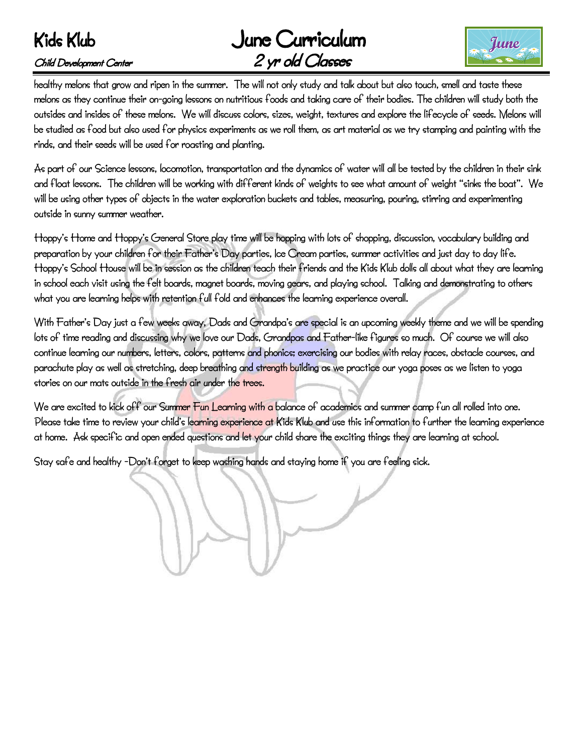# June Curriculum Child Development Center 2 yr old Classes



healthy melons that grow and ripen in the summer. The will not only study and talk about but also touch, smell and taste these melons as they continue their on-going lessons on nutritious foods and taking care of their bodies. The children will study both the outsides and insides of these melons. We will discuss colors, sizes, weight, textures and explore the lifecycle of seeds. Melons will be studied as food but also used for physics experiments as we roll them, as art material as we try stamping and painting with the rinds, and their seeds will be used for roasting and planting.

As part of our Science lessons, locomotion, transportation and the dynamics of water will all be tested by the children in their sink and float lessons. The children will be working with different kinds of weights to see what amount of weight "sinks the boat". We will be using other types of objects in the water exploration buckets and tables, measuring, pouring, stirring and experimenting outside in sunny summer weather.

Hoppy's Home and Hoppy's General Store play time will be hopping with lots of shopping, discussion, vocabulary building and preparation by your children for their Father's Day parties, Ice Cream parties, summer activities and just day to day life. Hoppy's School House will be in session as the children teach their friends and the Kids Klub dolls all about what they are learning in school each visit using the felt boards, magnet boards, moving gears, and playing school. Talking and demonstrating to others what you are learning helps with retention full fold and enhances the learning experience overall.

With Father's Day just a few weeks away, Dads and Grandpa's are special is an upcoming weekly theme and we will be spending lots of time reading and discussing why we love our Dads, Grandpas and Father-like figures so much. Of course we will also continue learning our numbers, letters, colors, patterns and phonics; exercising our bodies with relay races, obstacle courses, and parachute play as well as stretching, deep breathing and strength building as we practice our yoga poses as we listen to yoga stories on our mats outside in the fresh air under the trees.

We are excited to kick off our Summer Fun Learning with a balance of academics and summer camp fun all rolled into one. Please take time to review your child's learning experience at Kids Klub and use this information to further the learning experience at home. Ask specific and open ended questions and let your child share the exciting things they are learning at school.

Stay safe and healthy -Don't forget to keep washing hands and staying home if you are feeling sick.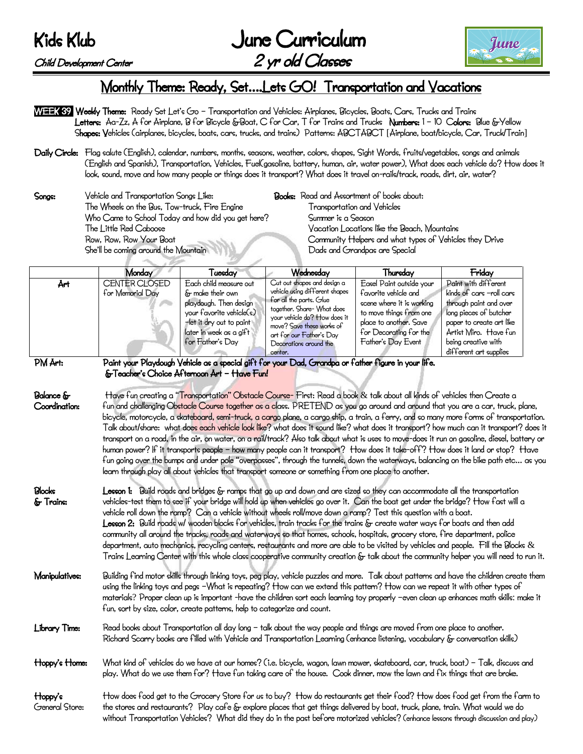Child Development Center

|           | June Curriculum  |
|-----------|------------------|
| it Center | 2 yr old Classes |



## Monthly Theme: Ready, Set….Lets GO! Transportation and Vacations

- WEEK 39 Weekly Theme: Ready Set Let's Go Transportation and Vehicles: Airplanes, Bicycles, Boats, Cars, Trucks and Trains Letters: Aa-Zz, A for Airplane, B for Bicycle &Boat, C for Car, T for Trains and Trucks Numbers: 1 - 10 Colors: Blue &Yellow Shapes: Vehicles (airplanes, bicycles, boats, cars, trucks, and trains) Patterns: ABCTABCT [Airplane, boat/bicycle, Car, Truck/Train]
- Daily Circle: Flag salute (English), calendar, numbers, months, seasons, weather, colors, shapes, Sight Words, fruits/vegetables, songs and animals (English and Spanish), Transportation, Vehicles, Fuel(gasoline, battery, human, air, water power), What does each vehicle do? How does it look, sound, move and how many people or things does it transport? What does it travel on-rails/track, roads, dirt, air, water?
- Songs: Vehicle and Transportation Songs Like: Books: Read and Assortment of books about: The Wheels on the Bus, Tow-truck, Fire Engine Transportation and Vehicles Who Came to School Today and how did you get here? Summer is a Season The Little Red Caboose Vacation Locations like the Beach, Mountains

Row, Row, Row Your Boat Community Helpers and what types of Vehicles they Drive She'll be coming around the Mountain Dads and Grandpas are Special

|     | Monday                            | Tuesday                                                                                                                                                                     | Wednesday                                                                                                                                                                                                                                            | Thursday                                                                                                                                                                           | Friday                                                                                                                                                                                                     |
|-----|-----------------------------------|-----------------------------------------------------------------------------------------------------------------------------------------------------------------------------|------------------------------------------------------------------------------------------------------------------------------------------------------------------------------------------------------------------------------------------------------|------------------------------------------------------------------------------------------------------------------------------------------------------------------------------------|------------------------------------------------------------------------------------------------------------------------------------------------------------------------------------------------------------|
| Årt | CENTER CLOSED<br>for Memorial Day | Each child measure out<br>& make their own<br>playdough. Then design<br>your fayorite yehicle(s)<br>-let it dry out to paint<br>later in week as a gift<br>for Father's Day | Cut out shapes and design a<br>yehicle using different shapes<br>for all the parts. Glue<br>together. Share- What does<br>your yehicle do? How does it<br>move? Save these works of<br>art for our Father's Day<br>Decorations around the<br>center. | Easel Paint outside your<br>favorite vehicle and<br>scene where it is working<br>to move things from one<br>place to another. Save<br>for Decorating for the<br>Father's Day Event | Paint with different<br>kinds of cars -roll cars<br>through paint and over<br>long pieces of butcher<br>paper to create art like<br>Årtist Miro. Have fun<br>being creative with<br>different art supplies |

#### PM Art: Paint your Playdough Vehicle as a special gift for your Dad, Grandpa or father figure in your life. &Teacher's Choice Afternoon Art – Have Fun!

Balance & Have fun creating a "Transportation" Obstacle Course- First: Read a book & talk about all kinds of vehicles then Create a Coordination: fun and challenging Obstacle Course together as a class. PRETEND as you go around and around that you are a car, truck, plane, bicycle, motorcycle, a skateboard, semi-truck, a cargo plane, a cargo ship, a train, a ferry, and so many more forms of transportation. Talk about/share: what does each vehicle look like? what does it sound like? what does it transport? how much can it transport? does it transport on a road, in the air, on water, on a rail/track? Also talk about what is uses to move-does it run on gasoline, diesel, battery or human power? If it transports people – how many people can it transport? How does it take-off? How does it land or stop? Have fun going over the bumps and under pole "overpasses", through the tunnels, down the waterways, balancing on the bike path etc… as you learn through play all about vehicles that transport someone or something from one place to another.

- Blocks Lesson 1: Build roads and bridges & ramps that go up and down and are sized so they can accommodate all the transportation & Trains: vehicles-test them to see if your bridge will hold up when vehicles go over it. Can the boat get under the bridge? How fast will a vehicle roll down the ramp? Can a vehicle without wheels roll/move down a ramp? Test this question with a boat. Lesson 2: Build roads w/ wooden blocks for vehicles, train tracks for the trains & create water ways for boats and then add community all around the tracks, roads and waterways so that homes, schools, hospitals, grocery store, fire department, police department, auto mechanics, recycling centers, restaurants and more are able to be visited by vehicles and people. Fill the Blocks & Trains Learning Center with this whole class cooperative community creation & talk about the community helper you will need to run it.
- Manipulatives: Building find motor skills through linking toys, peg play, vehicle puzzles and more. Talk about patterns and have the children create them using the linking toys and pegs –What is repeating? How can we extend this pattern? How can we repeat it with other types of materials? Proper clean up is important -have the children sort each learning toy properly –even clean up enhances math skills: make it fun, sort by size, color, create patterns, help to categorize and count.
- Library Time: Read books about Transportation all day long talk about the way people and things are moved from one place to another. Richard Scarry books are filled with Vehicle and Transportation Learning (enhance listening, vocabulary & conversation skills)
- Hoppy's Home: What kind of vehicles do we have at our homes? (i.e. bicycle, wagon, lawn mower, skateboard, car, truck, boat) Talk, discuss and play. What do we use them for? Have fun taking care of the house. Cook dinner, mow the lawn and fix things that are broke.
- Hoppy's How does food get to the Grocery Store for us to buy? How do restaurants get their food? How does food get from the farm to General Store: the stores and restaurants? Play cafe & explore places that get things delivered by boat, truck, plane, train. What would we do without Transportation Vehicles? What did they do in the past before motorized vehicles? (enhance lessons through discussion and play)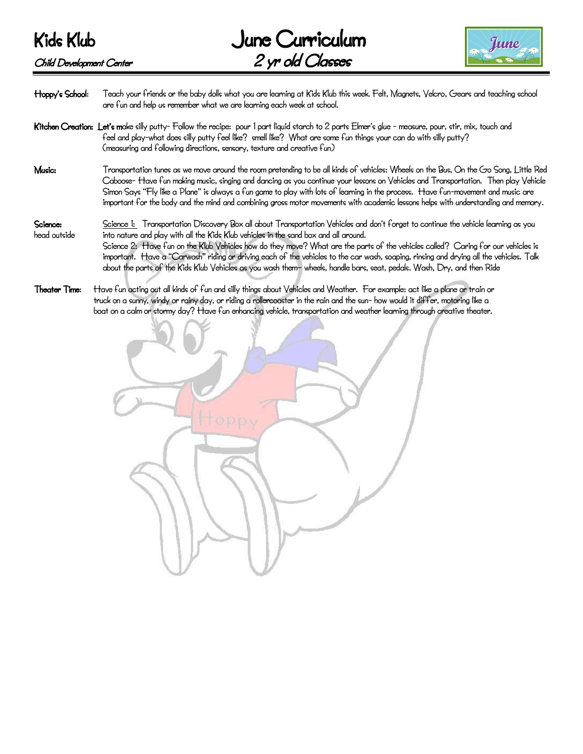



Hoppy's School: Teach your friends or the baby dolls what you are learning at Kids Klub this week. Felt, Magnets, Velcro, Gears and teaching school are fun and help us remember what we are learning each week at school.

- Kitchen Creation: Let's make silly putty- Follow the recipe: pour 1 part liquid starch to 2 parts Elmer's glue measure, pour, stir, mix, touch and feel and play-what does silly putty feel like? smell like? What are some fun things your can do with silly putty? (measuring and following directions, sensory, texture and creative fun)
- Music: Transportation tunes as we move around the room pretending to be all kinds of vehicles: Wheels on the Bus, On the Go Song, Little Red Caboose- Have fun making music, singing and dancing as you continue your lessons on Vehicles and Transportation. Then play Vehicle Simon Says "Fly like a Plane" is always a fun game to play with lots of learning in the process. Have fun-movement and music are important for the body and the mind and combining gross motor movements with academic lessons helps with understanding and memory.
- Science: Science 1: Transportation Discovery Box all about Transportation Vehicles and don't forget to continue the vehicle learning as you head outside into nature and play with all the Kids Klub vehicles in the sand box and all around. Science 2: Have fun on the Klub Vehicles how do they move? What are the parts of the vehicles called? Caring for our vehicles is important. Have a "Carwash" riding or driving each of the vehicles to the car wash, soaping, rinsing and drying all the vehicles. Talk about the parts of the Kids Klub Vehicles as you wash them– wheels, handle bars, seat, pedals. Wash, Dry, and then Ride
- Theater Time: Have fun acting out all kinds of fun and silly things about Vehicles and Weather. For example: act like a plane or train or truck on a sunny, windy or rainy day, or riding a rollercoaster in the rain and the sun- how would it differ, motoring like a boat on a calm or stormy day? Have fun enhancing vehicle, transportation and weather learning through creative theater.

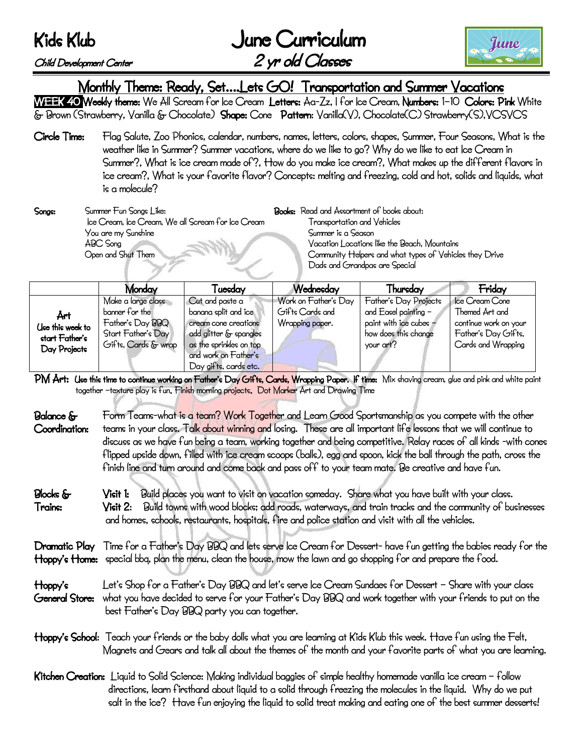|           | June Curriculum  |
|-----------|------------------|
| it Center | 2 yr old Classes |



#### Child Development Center

Monthly Theme: Ready, Set….Lets GO! Transportation and Summer Vacations

WEEK 40 Weekly theme: We All Scream for Ice Cream Letters: Aa-Zz, I for Ice Cream, Numbers: 1-10 Colors: Pink White & Brown (Strawberry, Vanilla & Chocolate) Shape: Cone Pattern: Vanilla(V), Chocolate(C) Strawberry(S),VCSVCS

Circle Time: Flag Salute, Zoo Phonics, calendar, numbers, names, letters, colors, shapes, Summer, Four Seasons, What is the weather like in Summer? Summer vacations, where do we like to go? Why do we like to eat Ice Cream in Summer?, What is ice cream made of?, How do you make ice cream?, What makes up the different flavors in ice cream?, What is your favorite flavor? Concepts: melting and freezing, cold and hot, solids and liquids, what is a molecule?

Songs: Summer Fun Songs Like: Books: Read and Assortment of books about: Ice Cream, Ice Cream, We all Scream for Ice Cream Transportation and Vehicles You are my Sunshine Summer is a Season ABC Song Vacation Locations like the Beach, Mountains

Open and Shut Them Community Helpers and what types of Vehicles they Drive Dads and Grandpas are Special

|                                                           | Monday                                                                                                | Fuesday                                                                                                                                                               | Wednesday                                                  | Thursday                                                                                                     | Friday                                                                                                 |
|-----------------------------------------------------------|-------------------------------------------------------------------------------------------------------|-----------------------------------------------------------------------------------------------------------------------------------------------------------------------|------------------------------------------------------------|--------------------------------------------------------------------------------------------------------------|--------------------------------------------------------------------------------------------------------|
| Årt<br>Use this week to<br>start Father's<br>Day Projects | Make a large class<br>banner for the<br>Father's Day BBQ<br>Start Father's Day<br>Gifts, Cards & wrap | Cut and paste a<br>banana split and ice<br>cream cone creations<br>add glitter & spangles<br>as the sprinkles on top<br>and work on Father's<br>Day gifts, cards etc. | Work on Father's Day<br>Gifts Cards and<br>Wrapping paper. | Father's Day Projects<br>and Easel painting -<br>paint with ice cubes -<br>how does this change<br>your art? | Ice Cream Cone<br>Themed Art and<br>continue work on your<br>Father's Day Gifts,<br>Cards and Wrapping |

PM Art: Use this time to continue working on Father's Day Gifts, Cards, Wrapping Paper. If time: Mix shaying cream, glue and pink and white paint together -texture play is fun. Finish morning projects. Dot Marker Art and Drawing Time

- Balance & Form Teams-what is a team? Work Together and Learn Good Sportsmanship as you compete with the other Coordination: teams in your class. Talk about winning and losing. These are all important life lessons that we will continue to discuss as we have fun being a team, working together and being competitive. Relay races of all kinds -with cones flipped upside down, filled with ice cream scoops (balls), egg and spoon, kick the ball through the path, cross the finish line and turn around and come back and pass off to your team mate. Be creative and have fun.
- Blocks & Visit 1: Build places you want to visit on vacation someday. Share what you have built with your class. Trains: Visit 2: Build towns with wood blocks; add roads, waterways, and train tracks and the community of businesses and homes, schools, restaurants, hospitals, fire and police station and visit with all the vehicles.

Dramatic Play Time for a Father's Day BBQ and lets serve Ice Cream for Dessert- have fun getting the babies ready for the Hoppy's Home: special bbq, plan the menu, clean the house, mow the lawn and go shopping for and prepare the food.

- Hoppy's Let's Shop for a Father's Day BBQ and let's serve Ice Cream Sundaes for Dessert Share with your class General Store: what you have decided to serve for your Father's Day BBQ and work together with your friends to put on the best Father's Day BBQ party you can together.
- Hoppy's School: Teach your friends or the baby dolls what you are learning at Kids Klub this week. Have fun using the Felt, Magnets and Gears and talk all about the themes of the month and your favorite parts of what you are learning.
- Kitchen Creation: Liquid to Solid Science: Making individual baggies of simple healthy homemade vanilla ice cream follow directions, learn firsthand about liquid to a solid through freezing the molecules in the liquid. Why do we put salt in the ice? Have fun enjoying the liquid to solid treat making and eating one of the best summer desserts!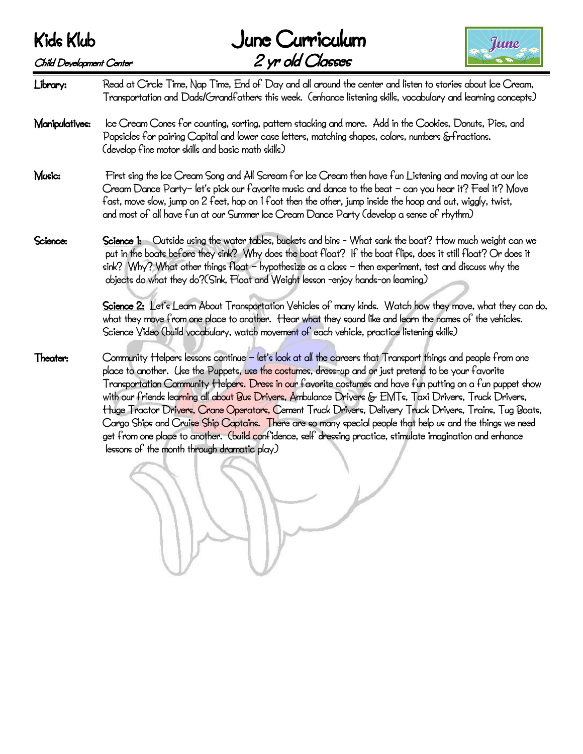# June Curriculum



Child Development Center 2 yr old Classes Library: Read at Circle Time, Nap Time, End of Day and all around the center and listen to stories about Ice Cream, Transportation and Dads/Grandfathers this week. (enhance listening skills, vocabulary and learning concepts) Manipulatives: Ice Cream Cones for counting, sorting, pattern stacking and more. Add in the Cookies, Donuts, Pies, and Popsicles for pairing Capital and lower case letters, matching shapes, colors, numbers &fractions. (develop fine motor skills and basic math skills) Music: First sing the Ice Cream Song and All Scream for Ice Cream then have fun Listening and moving at our Ice Cream Dance Party– let's pick our favorite music and dance to the beat – can you hear it? Feel it? Move fast, move slow, jump on 2 feet, hop on 1 foot then the other, jump inside the hoop and out, wiggly, twist, and most of all have fun at our Summer Ice Cream Dance Party (develop a sense of rhythm) Science: Science 1: Outside using the water tables, buckets and bins - What sank the boat? How much weight can we put in the boats before they sink? Why does the boat float? If the boat flips, does it still float? Or does it sink? Why? What other things float – hypothesize as a class – then experiment, test and discuss why the objects do what they do?(Sink, Float and Weight lesson -enjoy hands-on learning) Science 2: Let's Learn About Transportation Vehicles of many kinds. Watch how they move, what they can do, what they move from one place to another. Hear what they sound like and learn the names of the vehicles. Science Video (build vocabulary, watch movement of each vehicle, practice listening skills) Theater: Community Helpers lessons continue – let's look at all the careers that Transport things and people from one place to another. Use the Puppets, use the costumes, dress-up and or just pretend to be your favorite Transportation Community Helpers. Dress in our favorite costumes and have fun putting on a fun puppet show with our friends learning all about Bus Drivers, Ambulance Drivers & EMTs, Taxi Drivers, Truck Drivers, Huge Tractor Drivers, Crane Operators, Cement Truck Drivers, Delivery Truck Drivers, Trains, Tug Boats, Cargo Ships and Cruise Ship Captains. There are so many special people that help us and the things we need get from one place to another. (build confidence, self dressing practice, stimulate imagination and enhance lessons of the month through dramatic play)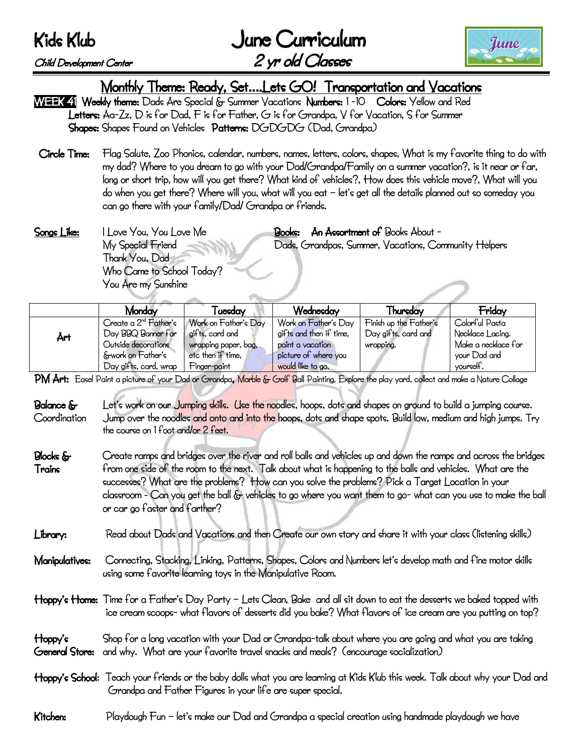|           | June Curriculum  |
|-----------|------------------|
| it Center | 2 yr old Classes |



#### Child Development Center

Monthly Theme: Ready, Set….Lets GO! Transportation and Vacations

WEEK 4 Weekly theme: Dads Are Special & Summer Vacations Numbers: 1-10 Colors: Yellow and Red Letters: Aa-Zz, D is for Dad, F is for Father, G is for Grandpa, V for Vacation, S for Summer Shapes: Shapes Found on Vehicles Patterns: DGDGDG (Dad, Grandpa):

- Circle Time: Flag Salute, Zoo Phonics, calendar, numbers, names, letters, colors, shapes, What is my favorite thing to do with my dad? Where to you dream to go with your Dad/Grandpa/Family on a summer vacation?, is it near or far, long or short trip, how will you get there? What kind of vehicles?, How does this vehicle move?, What will you do when you get there? Where will you, what will you eat – let's get all the details planned out so someday you can go there with your family/Dad/ Grandpa or friends.
- Songs Like: I Love You, You Love Me **Books: An Assortment of** Books About -My Special Friend Dads, Grandpas, Summer, Vacations, Community Helpers Thank You, Dad Who Came to School Today? You Are my Sunshine

|     | Monday                            | [uesday              | Wednesday               | Thursday               | Fridav              |
|-----|-----------------------------------|----------------------|-------------------------|------------------------|---------------------|
|     | Create a 2 <sup>nd</sup> Father's | Work on Father's Day | Work on Father's Day    | Finish up the Father's | Colorful Pasta      |
| Årt | Day BBQ Banner for                | gifts, card and      | gifts and then if time, | Day gifts, card and    | Necklace Lacing.    |
|     | Outside decorations               | wrapping paper, bag, | paint a yacation        | wrapping.              | Make a necklace for |
|     | &work on Father's                 | etc then if time,    | picture of where you    |                        | your Dad and        |
|     | Day gifts, card, wrap             | Finger-paint         | would like to go.       |                        | yourself.           |

PM Art: Easel Paint a picture of your Dad or Grandpa, Marble & Golf Ball Painting, Explore the play yard, collect and make a Nature Collage

- Balance & Let's work on our Jumping skills. Use the noodles, hoops, dots and shapes on ground to build a jumping course. Coordination Jump over the noodles and onto and into the hoops, dots and shape spots. Build low, medium and high jumps. Try the course on 1 foot and/or 2 feet.
- Blocks  $\&$  Create ramps and bridges over the river and roll balls and vehicles up and down the ramps and across the bridges Trains from one side of the room to the next. Talk about what is happening to the balls and vehicles. What are the successes? What are the problems? How can you solve the problems? Pick a Target Location in your classroom - Can you get the ball & vehicles to go where you want them to go- what can you use to make the ball or car go faster and farther?
- Library: Read about Dads and Vacations and then Create our own story and share it with your class (listening skills)
- Manipulatives: Connecting, Stacking, Linking, Patterns, Shapes, Colors and Numbers let's develop math and fine motor skills using some favorite learning toys in the Manipulative Room.
- Hoppy's Home: Time for a Father's Day Party Lets Clean, Bake and all sit down to eat the desserts we baked topped with ice cream scoops- what flavors of desserts did you bake? What flavors of ice cream are you putting on top?
- Hoppy's Shop for a long vacation with your Dad or Grandpa-talk about where you are going and what you are taking General Store: and why. What are your favorite travel snacks and meals? (encourage socialization)
- Hoppy's School: Teach your friends or the baby dolls what you are learning at Kids Klub this week. Talk about why your Dad and Grandpa and Father Figures in your life are super special.

### Kitchen: Playdough Fun – let's make our Dad and Grandpa a special creation using handmade playdough we have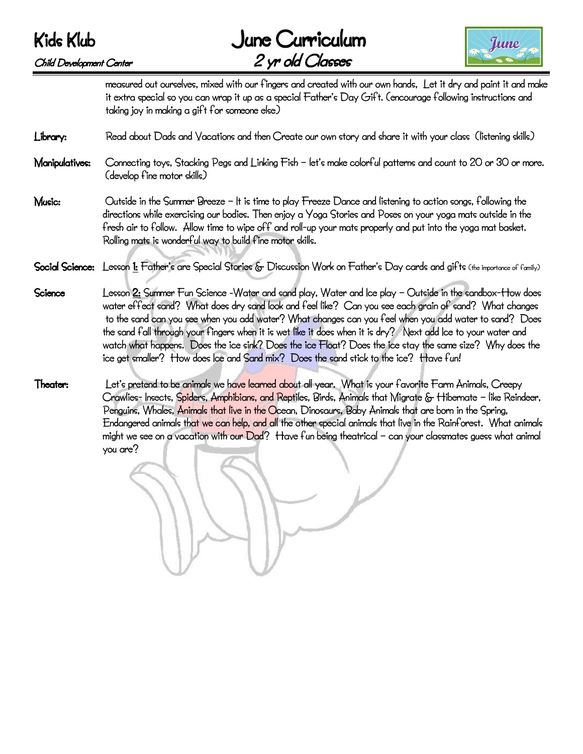



measured out ourselves, mixed with our fingers and created with our own hands, Let it dry and paint it and make it extra special so you can wrap it up as a special Father's Day Gift. (encourage following instructions and taking joy in making a gift for someone else)

## Library: Read about Dads and Vacations and then Create our own story and share it with your class (listening skills)

- Manipulatives: Connecting toys, Stacking Pegs and Linking Fish let's make colorful patterns and count to 20 or 30 or more. (develop fine motor skills)
- Music: Outside in the Summer Breeze It is time to play Freeze Dance and listening to action songs, following the directions while exercising our bodies. Then enjoy a Yoga Stories and Poses on your yoga mats outside in the fresh air to follow. Allow time to wipe off and roll-up your mats properly and put into the yoga mat basket. Rolling mats is wonderful way to build fine motor skills.
- Social Science: Lesson 1: Father's are Special Stories & Discussion Work on Father's Day cards and gifts (the importance of family)
- Science Lesson 2: Summer Fun Science -Water and sand play, Water and Ice play Outside in the sandbox-How does water effect sand? What does dry sand look and feel like? Can you see each grain of sand? What changes to the sand can you see when you add water? What changes can you feel when you add water to sand? Does the sand fall through your fingers when it is wet like it does when it is dry? Next add Ice to your water and watch what happens. Does the ice sink? Does the ice Float? Does the ice stay the same size? Why does the ice get smaller? How does Ice and Sand mix? Does the sand stick to the ice? Have fun!
- Theater: Let's pretend to be animals we have learned about all year. What is your favorite Farm Animals, Creepy Crawlies- Insects, Spiders, Amphibians, and Reptiles, Birds, Animals that Migrate & Hibernate – like Reindeer, Penguins, Whales, Animals that live in the Ocean, Dinosaurs, Baby Animals that are born in the Spring, Endangered animals that we can help, and all the other special animals that live in the Rainforest. What animals might we see on a vacation with our Dad? Have fun being theatrical – can your classmates guess what animal you are?

Ĩ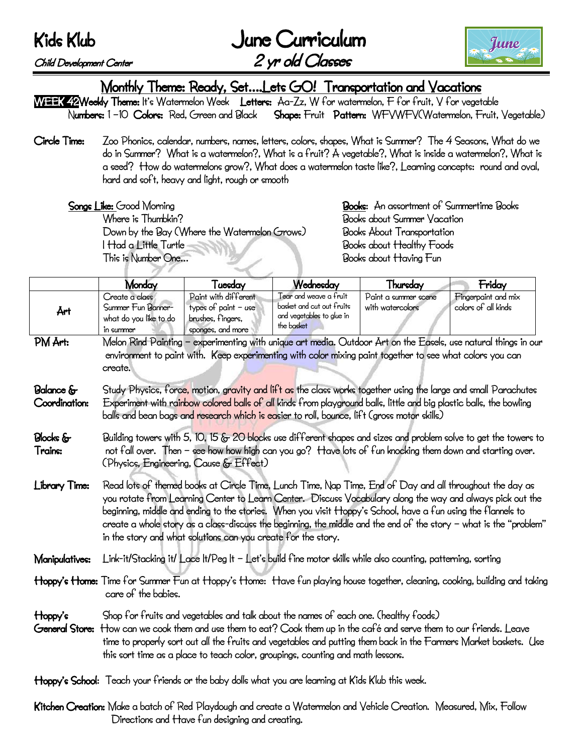June Curriculum Child Development Center 2 yr old Classes



Monthly Theme: Ready, Set….Lets GO! Transportation and Vacations

WEEK 42Weekly Theme: It's Watermelon Week Letters: Aa-Zz, W for watermelon, F for fruit, V for vegetable Numbers: 1 –10 Colors: Red, Green and Black Shape: Fruit Pattern: WFVWFV(Watermelon, Fruit, Vegetable)

Circle Time: Zoo Phonics, calendar, numbers, names, letters, colors, shapes, What is Summer? The 4 Seasons, What do we do in Summer? What is a watermelon?, What is a fruit? A vegetable?, What is inside a watermelon?, What is a seed? How do watermelons grow?, What does a watermelon taste like?, Learning concepts: round and oval, hard and soft, heavy and light, rough or smooth

Where is Thumbkin? The contraction of the Books about Summer Vacation Down by the Bay (Where the Watermelon Grows) Books About Transportation I Had a Little Turtle **Intervention Cooks** about Healthy Foods This is Number One… Books about Having Fun

Songs Like: Good Morning **Books:** An assortment of Summertime Books

|                                   | Monday                                                                                                                                                                                                                                                                                                                                                                                                                                                                                                                       | Tuesday                                                                                  | Wednesday                                                                                          | Thursday                                                                                                  | Friday                                                                                                                     |
|-----------------------------------|------------------------------------------------------------------------------------------------------------------------------------------------------------------------------------------------------------------------------------------------------------------------------------------------------------------------------------------------------------------------------------------------------------------------------------------------------------------------------------------------------------------------------|------------------------------------------------------------------------------------------|----------------------------------------------------------------------------------------------------|-----------------------------------------------------------------------------------------------------------|----------------------------------------------------------------------------------------------------------------------------|
| Årt                               | Create a class<br>Summer Fun Banner-<br>what do you like to do<br>in summer                                                                                                                                                                                                                                                                                                                                                                                                                                                  | Paint with different<br>types of paint $-$ use<br>brushes, fingers,<br>sponges, and more | Tear and weave a fruit<br>basket and cut out fruits<br>and yegetables to glue in<br>the basket     | Paint a summer scene<br>with watercolors                                                                  | Fingerpaint and mix<br>colors of all kinds                                                                                 |
| PM Art:                           | create.                                                                                                                                                                                                                                                                                                                                                                                                                                                                                                                      |                                                                                          |                                                                                                    | environment to paint with. Keep experimenting with color mixing paint together to see what colors you can | Melon Rind Painting – experimenting with unique art media. Outdoor Art on the Easels, use natural things in our            |
| <b>Balance</b> &<br>Coordination: | Study Physics, force, motion, gravity and lift as the class works together using the large and small Parachutes<br>Experiment with rainbow colored balls of all kinds from playground balls, little and big plastic balls, the bowling<br>balls and bean bags and research which is easier to roll, bounce, lift (gross motor skills)                                                                                                                                                                                        |                                                                                          |                                                                                                    |                                                                                                           |                                                                                                                            |
| <b>Blocks</b> &<br>Trains:        | Building towers with 5, 10, 15 & 20 blocks use different shapes and sizes and problem solve to get the towers to<br>not fall over. Then - see how how high can you go? Have lots of fun knocking them down and starting over.<br>(Physics, Engineering, Cause & Effect)                                                                                                                                                                                                                                                      |                                                                                          |                                                                                                    |                                                                                                           |                                                                                                                            |
| Library Time:                     | Read lots of themed books at Circle Time, Lunch Time, Nap Time, End of Day and all throughout the day as<br>you rotate from Learning Center to Learn Center. Discuss Vocabulary along the way and always pick out the<br>beginning, middle and ending to the stories. When you visit Hoppy's School, have a fun using the flannels to<br>create a whole story as a class-discuss the beginning, the middle and the end of the story - what is the "problem"<br>in the story and what solutions can you create for the story. |                                                                                          |                                                                                                    |                                                                                                           |                                                                                                                            |
| Manipulatives:                    | Link-it/Stacking it/ Lace It/Peg It - Let's build fine motor skills while also counting, patterning, sorting                                                                                                                                                                                                                                                                                                                                                                                                                 |                                                                                          |                                                                                                    |                                                                                                           |                                                                                                                            |
|                                   | care of the babies.                                                                                                                                                                                                                                                                                                                                                                                                                                                                                                          |                                                                                          |                                                                                                    |                                                                                                           | Hoppy's Home: Time for Summer Fun at Hoppy's Home: Have fun playing house together, cleaning, cooking, building and taking |
| Hoppy's<br>General Store:         | Shop for fruits and vegetables and talk about the names of each one. (healthy foods)<br>How can we cook them and use them to eat? Cook them up in the café and serve them to our friends. Leave<br>time to properly sort out all the fruits and vegetables and putting them back in the Farmers Market baskets. Use<br>this sort time as a place to teach color, groupings, counting and math lessons.                                                                                                                       |                                                                                          |                                                                                                    |                                                                                                           |                                                                                                                            |
|                                   |                                                                                                                                                                                                                                                                                                                                                                                                                                                                                                                              |                                                                                          | Hoppy's School: Teach your friends or the baby dolls what you are learning at Kids Klub this week. |                                                                                                           |                                                                                                                            |

Kitchen Creation: Make a batch of Red Playdough and create a Watermelon and Vehicle Creation. Measured, Mix, Follow Directions and Have fun designing and creating.